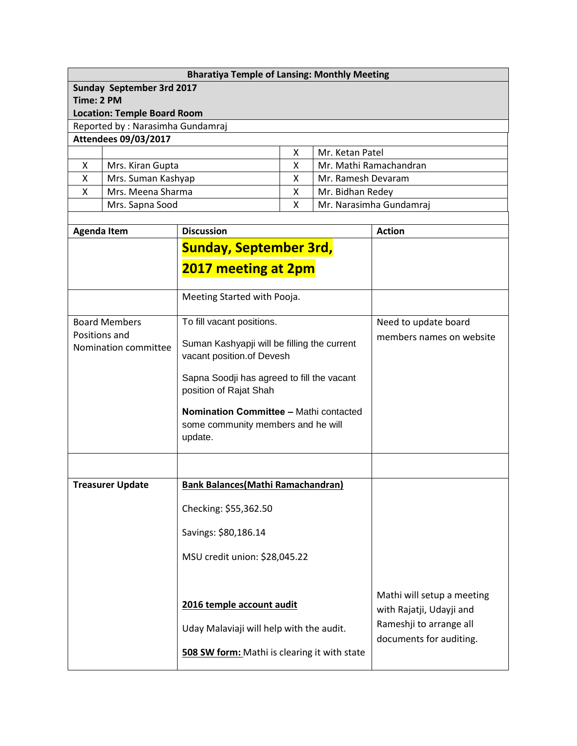## **Bharatiya Temple of Lansing: Monthly Meeting**

**Sunday September 3rd 2017**

**Time: 2 PM**

**Location: Temple Board Room**

Reported by : Narasimha Gundamraj

## **Attendees 09/03/2017**

|                    | Mr. Ketan Patel         |
|--------------------|-------------------------|
| Mrs. Kiran Gupta   | Mr. Mathi Ramachandran  |
| Mrs. Suman Kashyap | Mr. Ramesh Devaram      |
| Mrs. Meena Sharma  | Mr. Bidhan Redey        |
| Mrs. Sapna Sood    | Mr. Narasimha Gundamraj |
|                    |                         |

| <b>Agenda Item</b>                    | <b>Discussion</b>                                                                       | <b>Action</b>                                          |
|---------------------------------------|-----------------------------------------------------------------------------------------|--------------------------------------------------------|
|                                       | <b>Sunday, September 3rd,</b>                                                           |                                                        |
|                                       | 2017 meeting at 2pm                                                                     |                                                        |
|                                       |                                                                                         |                                                        |
|                                       | Meeting Started with Pooja.                                                             |                                                        |
| <b>Board Members</b>                  | To fill vacant positions.                                                               | Need to update board                                   |
| Positions and<br>Nomination committee | Suman Kashyapji will be filling the current<br>vacant position.of Devesh                | members names on website                               |
|                                       | Sapna Soodji has agreed to fill the vacant<br>position of Rajat Shah                    |                                                        |
|                                       | Nomination Committee - Mathi contacted<br>some community members and he will<br>update. |                                                        |
|                                       |                                                                                         |                                                        |
| <b>Treasurer Update</b>               | <b>Bank Balances (Mathi Ramachandran)</b>                                               |                                                        |
|                                       | Checking: \$55,362.50                                                                   |                                                        |
|                                       | Savings: \$80,186.14                                                                    |                                                        |
|                                       | MSU credit union: \$28,045.22                                                           |                                                        |
|                                       |                                                                                         |                                                        |
|                                       | 2016 temple account audit                                                               | Mathi will setup a meeting<br>with Rajatji, Udayji and |
|                                       | Uday Malaviaji will help with the audit.                                                | Rameshji to arrange all<br>documents for auditing.     |
|                                       | 508 SW form: Mathi is clearing it with state                                            |                                                        |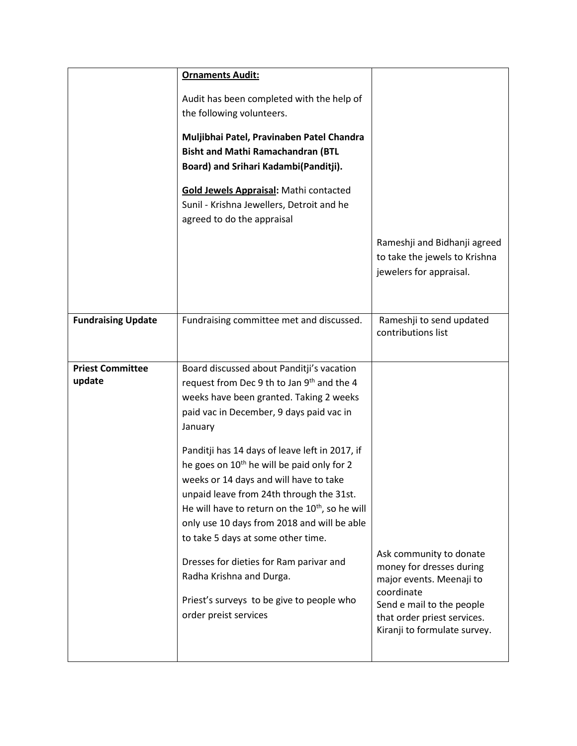|                                   | <b>Ornaments Audit:</b>                                                                                                                                                                                                                                                                                                                            |                                                                                               |
|-----------------------------------|----------------------------------------------------------------------------------------------------------------------------------------------------------------------------------------------------------------------------------------------------------------------------------------------------------------------------------------------------|-----------------------------------------------------------------------------------------------|
|                                   | Audit has been completed with the help of<br>the following volunteers.                                                                                                                                                                                                                                                                             |                                                                                               |
|                                   | Muljibhai Patel, Pravinaben Patel Chandra<br><b>Bisht and Mathi Ramachandran (BTL</b><br>Board) and Srihari Kadambi(Panditji).                                                                                                                                                                                                                     |                                                                                               |
|                                   | Gold Jewels Appraisal: Mathi contacted<br>Sunil - Krishna Jewellers, Detroit and he<br>agreed to do the appraisal                                                                                                                                                                                                                                  |                                                                                               |
|                                   |                                                                                                                                                                                                                                                                                                                                                    | Rameshji and Bidhanji agreed<br>to take the jewels to Krishna<br>jewelers for appraisal.      |
| <b>Fundraising Update</b>         | Fundraising committee met and discussed.                                                                                                                                                                                                                                                                                                           | Rameshji to send updated<br>contributions list                                                |
| <b>Priest Committee</b><br>update | Board discussed about Panditji's vacation<br>request from Dec 9 th to Jan 9th and the 4<br>weeks have been granted. Taking 2 weeks<br>paid vac in December, 9 days paid vac in<br>January                                                                                                                                                          |                                                                                               |
|                                   | Panditji has 14 days of leave left in 2017, if<br>he goes on 10 <sup>th</sup> he will be paid only for 2<br>weeks or 14 days and will have to take<br>unpaid leave from 24th through the 31st.<br>He will have to return on the 10 <sup>th</sup> , so he will<br>only use 10 days from 2018 and will be able<br>to take 5 days at some other time. |                                                                                               |
|                                   | Dresses for dieties for Ram parivar and<br>Radha Krishna and Durga.                                                                                                                                                                                                                                                                                | Ask community to donate<br>money for dresses during<br>major events. Meenaji to<br>coordinate |
|                                   | Priest's surveys to be give to people who<br>order preist services                                                                                                                                                                                                                                                                                 | Send e mail to the people<br>that order priest services.<br>Kiranji to formulate survey.      |
|                                   |                                                                                                                                                                                                                                                                                                                                                    |                                                                                               |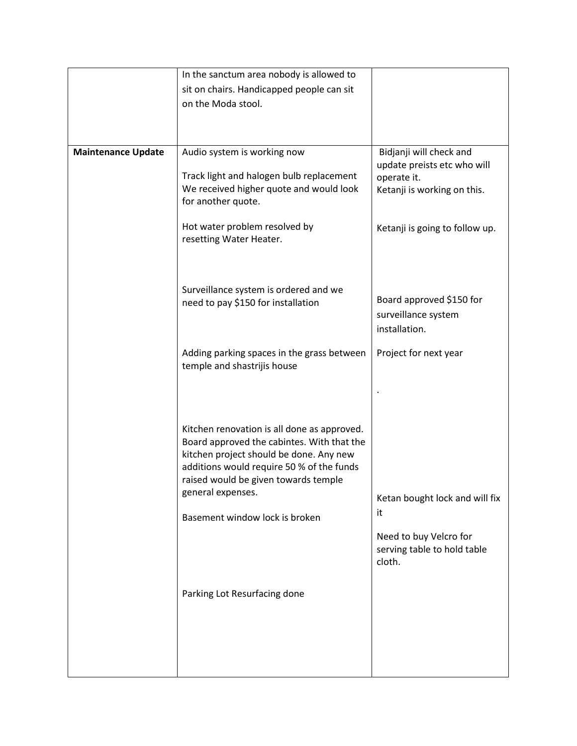|                           | In the sanctum area nobody is allowed to                                                                                                                                                                                                       |                                                                 |
|---------------------------|------------------------------------------------------------------------------------------------------------------------------------------------------------------------------------------------------------------------------------------------|-----------------------------------------------------------------|
|                           | sit on chairs. Handicapped people can sit                                                                                                                                                                                                      |                                                                 |
|                           | on the Moda stool.                                                                                                                                                                                                                             |                                                                 |
|                           |                                                                                                                                                                                                                                                |                                                                 |
|                           |                                                                                                                                                                                                                                                |                                                                 |
| <b>Maintenance Update</b> | Audio system is working now                                                                                                                                                                                                                    | Bidjanji will check and<br>update preists etc who will          |
|                           | Track light and halogen bulb replacement<br>We received higher quote and would look<br>for another quote.                                                                                                                                      | operate it.<br>Ketanji is working on this.                      |
|                           | Hot water problem resolved by<br>resetting Water Heater.                                                                                                                                                                                       | Ketanji is going to follow up.                                  |
|                           | Surveillance system is ordered and we<br>need to pay \$150 for installation                                                                                                                                                                    | Board approved \$150 for                                        |
|                           |                                                                                                                                                                                                                                                | surveillance system<br>installation.                            |
|                           | Adding parking spaces in the grass between<br>temple and shastrijis house                                                                                                                                                                      | Project for next year                                           |
|                           |                                                                                                                                                                                                                                                |                                                                 |
|                           | Kitchen renovation is all done as approved.<br>Board approved the cabintes. With that the<br>kitchen project should be done. Any new<br>additions would require 50 % of the funds<br>raised would be given towards temple<br>general expenses. | Ketan bought lock and will fix                                  |
|                           |                                                                                                                                                                                                                                                | it                                                              |
|                           | Basement window lock is broken                                                                                                                                                                                                                 |                                                                 |
|                           |                                                                                                                                                                                                                                                | Need to buy Velcro for<br>serving table to hold table<br>cloth. |
|                           | Parking Lot Resurfacing done                                                                                                                                                                                                                   |                                                                 |
|                           |                                                                                                                                                                                                                                                |                                                                 |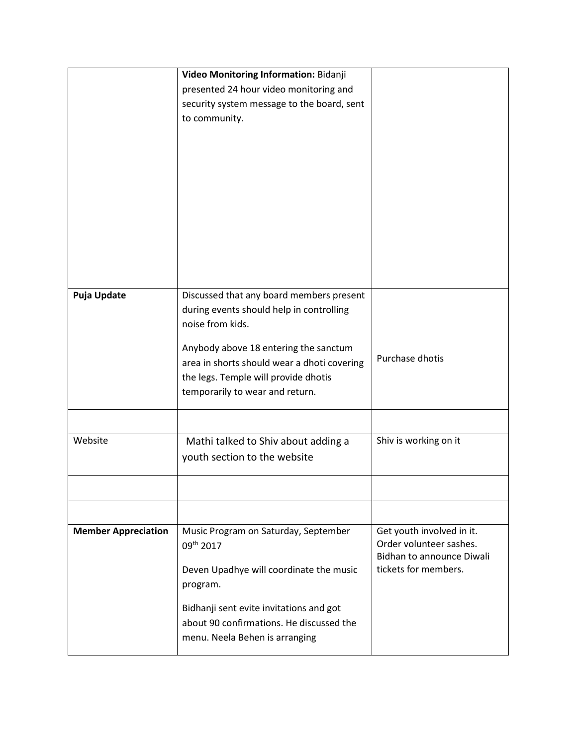|                            | Video Monitoring Information: Bidanji                                   |                           |
|----------------------------|-------------------------------------------------------------------------|---------------------------|
|                            | presented 24 hour video monitoring and                                  |                           |
|                            | security system message to the board, sent                              |                           |
|                            | to community.                                                           |                           |
|                            |                                                                         |                           |
|                            |                                                                         |                           |
|                            |                                                                         |                           |
|                            |                                                                         |                           |
|                            |                                                                         |                           |
|                            |                                                                         |                           |
|                            |                                                                         |                           |
|                            |                                                                         |                           |
|                            |                                                                         |                           |
|                            |                                                                         |                           |
| <b>Puja Update</b>         | Discussed that any board members present                                |                           |
|                            | during events should help in controlling                                |                           |
|                            | noise from kids.                                                        |                           |
|                            |                                                                         |                           |
|                            | Anybody above 18 entering the sanctum                                   | Purchase dhotis           |
|                            | area in shorts should wear a dhoti covering                             |                           |
|                            | the legs. Temple will provide dhotis<br>temporarily to wear and return. |                           |
|                            |                                                                         |                           |
|                            |                                                                         |                           |
| Website                    | Mathi talked to Shiv about adding a                                     | Shiv is working on it     |
|                            | youth section to the website                                            |                           |
|                            |                                                                         |                           |
|                            |                                                                         |                           |
|                            |                                                                         |                           |
| <b>Member Appreciation</b> | Music Program on Saturday, September                                    | Get youth involved in it. |
|                            | 09 <sup>th</sup> 2017                                                   | Order volunteer sashes.   |
|                            |                                                                         | Bidhan to announce Diwali |
|                            | Deven Upadhye will coordinate the music                                 | tickets for members.      |
|                            | program.                                                                |                           |
|                            | Bidhanji sent evite invitations and got                                 |                           |
|                            | about 90 confirmations. He discussed the                                |                           |
|                            | menu. Neela Behen is arranging                                          |                           |
|                            |                                                                         |                           |